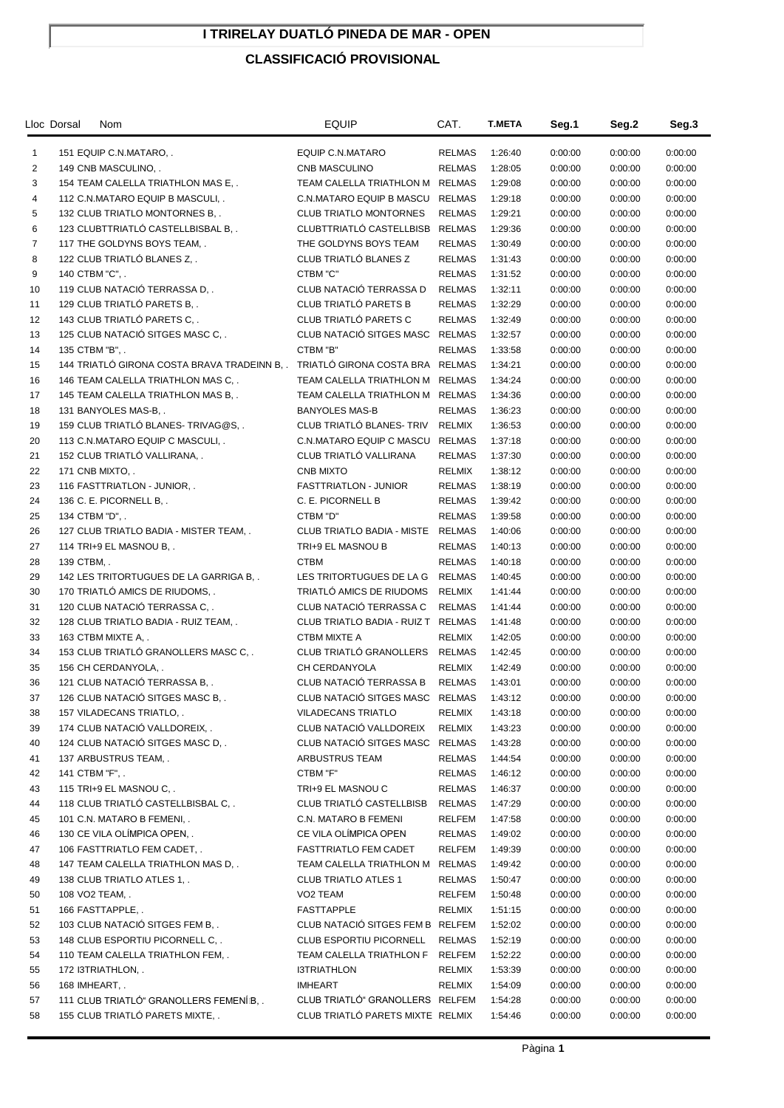## **I TRIRELAY DUATLÓ PINEDA DE MAR - OPEN**

## **CLASSIFICACIÓ PROVISIONAL**

|                | Lloc Dorsal<br>Nom                           | <b>EQUIP</b>                       | CAT.          | <b>T.META</b> | Seg.1   | Seg.2   | Seg.3   |
|----------------|----------------------------------------------|------------------------------------|---------------|---------------|---------|---------|---------|
| $\mathbf{1}$   | 151 EQUIP C.N.MATARO, .                      | EQUIP C.N.MATARO                   | <b>RELMAS</b> | 1:26:40       | 0:00:00 | 0:00:00 | 0:00:00 |
| 2              | 149 CNB MASCULINO, .                         | CNB MASCULINO                      | RELMAS        | 1:28:05       | 0:00:00 | 0:00:00 | 0:00:00 |
| 3              | 154 TEAM CALELLA TRIATHLON MAS E             | TEAM CALELLA TRIATHLON M           | RELMAS        | 1:29:08       | 0:00:00 | 0:00:00 | 0:00:00 |
| 4              | 112 C.N.MATARO EQUIP B MASCULI               | <b>C.N.MATARO EQUIP B MASCU</b>    | <b>RELMAS</b> | 1:29:18       | 0:00:00 | 0:00:00 | 0:00:00 |
| 5              | 132 CLUB TRIATLO MONTORNES B                 | <b>CLUB TRIATLO MONTORNES</b>      | <b>RELMAS</b> | 1:29:21       | 0:00:00 | 0:00:00 | 0:00:00 |
| 6              | 123 CLUBTTRIATLO CASTELLBISBAL B             | CLUBTTRIATLÓ CASTELLBISB           | <b>RELMAS</b> | 1:29:36       | 0:00:00 | 0:00:00 | 0:00:00 |
| $\overline{7}$ | 117 THE GOLDYNS BOYS TEAM, .                 | THE GOLDYNS BOYS TEAM              | <b>RELMAS</b> | 1:30:49       | 0:00:00 | 0:00:00 | 0:00:00 |
| 8              | 122 CLUB TRIATLÓ BLANES Z                    | CLUB TRIATLÓ BLANES Z              | <b>RELMAS</b> | 1:31:43       | 0:00:00 | 0:00:00 | 0:00:00 |
| 9              | 140 CTBM "C", .                              | CTBM "C"                           | <b>RELMAS</b> | 1:31:52       | 0:00:00 | 0:00:00 | 0:00:00 |
| 10             | 119 CLUB NATACIÓ TERRASSA D,.                | CLUB NATACIÓ TERRASSA D            | <b>RELMAS</b> | 1:32:11       | 0:00:00 | 0:00:00 | 0:00:00 |
| 11             | 129 CLUB TRIATLÓ PARETS B                    | CLUB TRIATLÓ PARETS B              | <b>RELMAS</b> | 1:32:29       | 0:00:00 | 0:00:00 | 0:00:00 |
| 12             | 143 CLUB TRIATLÓ PARETS C,.                  | CLUB TRIATLÓ PARETS C              | <b>RELMAS</b> | 1:32:49       | 0:00:00 | 0:00:00 | 0:00:00 |
| 13             | 125 CLUB NATACIÓ SITGES MASC C,.             | CLUB NATACIÓ SITGES MASC RELMAS    |               | 1:32:57       | 0:00:00 | 0:00:00 | 0:00:00 |
| 14             | 135 CTBM "B", .                              | CTBM "B"                           | <b>RELMAS</b> | 1:33:58       | 0:00:00 | 0:00:00 | 0:00:00 |
| 15             | 144 TRIATLÓ GIRONA COSTA BRAVA TRADEINN B, . | TRIATLÓ GIRONA COSTA BRA RELMAS    |               | 1:34:21       | 0:00:00 | 0:00:00 | 0:00:00 |
| 16             | 146 TEAM CALELLA TRIATHLON MAS C,.           | TEAM CALELLA TRIATHLON M           | <b>RELMAS</b> | 1:34:24       | 0:00:00 | 0:00:00 | 0:00:00 |
| 17             | 145 TEAM CALELLA TRIATHLON MAS B, .          | TEAM CALELLA TRIATHLON M RELMAS    |               | 1:34:36       | 0:00:00 | 0:00:00 | 0:00:00 |
| 18             | 131 BANYOLES MAS-B                           | <b>BANYOLES MAS-B</b>              | <b>RELMAS</b> | 1:36:23       | 0:00:00 | 0:00:00 | 0:00:00 |
| 19             | 159 CLUB TRIATLÓ BLANES-TRIVAG@S             | CLUB TRIATLÓ BLANES-TRIV           | <b>RELMIX</b> | 1:36:53       | 0:00:00 | 0:00:00 | 0:00:00 |
| 20             | 113 C.N.MATARO EQUIP C MASCULI, .            | C.N.MATARO EQUIP C MASCU RELMAS    |               | 1:37:18       | 0:00:00 | 0:00:00 | 0:00:00 |
| 21             | 152 CLUB TRIATLÓ VALLIRANA,.                 | CLUB TRIATLÓ VALLIRANA             | <b>RELMAS</b> | 1:37:30       | 0:00:00 | 0:00:00 | 0:00:00 |
| 22             | 171 CNB MIXTO, .                             | <b>CNB MIXTO</b>                   | RELMIX        | 1:38:12       | 0:00:00 | 0:00:00 | 0:00:00 |
| 23             | 116 FASTTRIATLON - JUNIOR, .                 | <b>FASTTRIATLON - JUNIOR</b>       | <b>RELMAS</b> | 1:38:19       | 0:00:00 | 0:00:00 | 0:00:00 |
| 24             | 136 C. E. PICORNELL B, .                     | C. E. PICORNELL B                  | <b>RELMAS</b> | 1:39:42       | 0:00:00 | 0:00:00 | 0:00:00 |
| 25             | 134 CTBM "D", .                              | CTBM "D"                           | RELMAS        | 1:39:58       | 0:00:00 | 0:00:00 | 0:00:00 |
| 26             | 127 CLUB TRIATLO BADIA - MISTER TEAM, .      | CLUB TRIATLO BADIA - MISTE         | RELMAS        | 1:40:06       | 0:00:00 | 0:00:00 | 0:00:00 |
| 27             | 114 TRI+9 EL MASNOU B, .                     | TRI+9 EL MASNOU B                  | <b>RELMAS</b> | 1:40:13       | 0:00:00 | 0:00:00 | 0:00:00 |
| 28             | 139 CTBM, .                                  | <b>CTBM</b>                        | <b>RELMAS</b> | 1:40:18       | 0:00:00 | 0:00:00 | 0:00:00 |
| 29             | 142 LES TRITORTUGUES DE LA GARRIGA B         | LES TRITORTUGUES DE LA G           | <b>RELMAS</b> | 1:40:45       | 0:00:00 | 0:00:00 | 0:00:00 |
| 30             | 170 TRIATLÓ AMICS DE RIUDOMS                 | TRIATLÓ AMICS DE RIUDOMS           | RELMIX        | 1:41:44       | 0:00:00 | 0:00:00 | 0:00:00 |
| 31             | 120 CLUB NATACIÓ TERRASSA C,.                | CLUB NATACIÓ TERRASSA C            | <b>RELMAS</b> | 1:41:44       | 0:00:00 | 0:00:00 | 0:00:00 |
| 32             | 128 CLUB TRIATLO BADIA - RUIZ TEAM, .        | CLUB TRIATLO BADIA - RUIZ T RELMAS |               | 1:41:48       | 0:00:00 | 0:00:00 | 0:00:00 |
| 33             | 163 CTBM MIXTE A, .                          | CTBM MIXTE A                       | <b>RELMIX</b> | 1:42:05       | 0:00:00 | 0:00:00 | 0:00:00 |
| 34             | 153 CLUB TRIATLÓ GRANOLLERS MASC C,.         | CLUB TRIATLÓ GRANOLLERS            | <b>RELMAS</b> | 1:42:45       | 0:00:00 | 0:00:00 | 0:00:00 |
| 35             | 156 CH CERDANYOLA, .                         | CH CERDANYOLA                      | RELMIX        | 1:42:49       | 0:00:00 | 0:00:00 | 0:00:00 |
| 36             | 121 CLUB NATACIÓ TERRASSA B                  | CLUB NATACIÓ TERRASSA B            | <b>RELMAS</b> | 1:43:01       | 0:00:00 | 0:00:00 | 0:00:00 |
| 37             | 126 CLUB NATACIÓ SITGES MASC B               | CLUB NATACIÓ SITGES MASC RELMAS    |               | 1:43:12       | 0:00:00 | 0:00:00 | 0:00:00 |
| 38             | 157 VILADECANS TRIATLO, .                    | <b>VILADECANS TRIATLO</b>          | <b>RELMIX</b> | 1:43:18       | 0:00:00 | 0:00:00 | 0:00:00 |
| 39             | 174 CLUB NATACIÓ VALLDOREIX,.                | CLUB NATACIÓ VALLDOREIX            | <b>RELMIX</b> | 1:43:23       | 0:00:00 | 0:00:00 | 0:00:00 |
| 40             | 124 CLUB NATACIÓ SITGES MASC D,.             | CLUB NATACIÓ SITGES MASC           | <b>RELMAS</b> | 1:43:28       | 0:00:00 | 0:00:00 | 0:00:00 |
| 41             | 137 ARBUSTRUS TEAM, .                        | ARBUSTRUS TEAM                     | RELMAS        | 1:44:54       | 0:00:00 | 0:00:00 | 0:00:00 |
| 42             | 141 CTBM "F", .                              | CTBM "F"                           | <b>RELMAS</b> | 1:46:12       | 0:00:00 | 0:00:00 | 0:00:00 |
| 43             | 115 TRI+9 EL MASNOU C                        | TRI+9 EL MASNOU C                  | <b>RELMAS</b> | 1:46:37       | 0:00:00 | 0:00:00 | 0:00:00 |
| 44             | 118 CLUB TRIATLÓ CASTELLBISBAL C,.           | CLUB TRIATLÓ CASTELLBISB           | <b>RELMAS</b> | 1:47:29       | 0:00:00 | 0:00:00 | 0:00:00 |
| 45             | 101 C.N. MATARO B FEMENI, .                  | C.N. MATARO B FEMENI               | RELFEM        | 1:47:58       | 0:00:00 | 0:00:00 | 0:00:00 |
| 46             | 130 CE VILA OLÍMPICA OPEN,.                  | CE VILA OLÍMPICA OPEN              | <b>RELMAS</b> | 1:49:02       | 0:00:00 | 0:00:00 | 0:00:00 |
| 47             | 106 FASTTRIATLO FEM CADET, .                 | FASTTRIATLO FEM CADET              | RELFEM        | 1:49:39       | 0:00:00 | 0:00:00 | 0:00:00 |
| 48             | 147 TEAM CALELLA TRIATHLON MAS D, .          | TEAM CALELLA TRIATHLON M RELMAS    |               | 1:49:42       | 0:00:00 | 0:00:00 | 0:00:00 |
| 49             | 138 CLUB TRIATLO ATLES 1, .                  | <b>CLUB TRIATLO ATLES 1</b>        | RELMAS        | 1:50:47       | 0:00:00 | 0:00:00 | 0:00:00 |
| 50             | 108 VO2 TEAM, .                              | VO2 TEAM                           | RELFEM        | 1:50:48       | 0:00:00 | 0:00:00 | 0:00:00 |
| 51             | 166 FASTTAPPLE, .                            | <b>FASTTAPPLE</b>                  | RELMIX        | 1:51:15       | 0:00:00 | 0:00:00 | 0:00:00 |
| 52             | 103 CLUB NATACIÓ SITGES FEM B, .             | CLUB NATACIÓ SITGES FEM B RELFEM   |               | 1:52:02       | 0:00:00 | 0:00:00 | 0:00:00 |
| 53             | 148 CLUB ESPORTIU PICORNELL C, .             | CLUB ESPORTIU PICORNELL            | RELMAS        | 1:52:19       | 0:00:00 | 0:00:00 | 0:00:00 |
| 54             | 110 TEAM CALELLA TRIATHLON FEM, .            | TEAM CALELLA TRIATHLON F           | RELFEM        | 1:52:22       | 0:00:00 | 0:00:00 | 0:00:00 |
| 55             | 172 I3TRIATHLON, .                           | <b>I3TRIATHLON</b>                 | RELMIX        | 1:53:39       | 0:00:00 | 0:00:00 | 0:00:00 |
| 56             | 168 IMHEART, .                               | <b>IMHEART</b>                     | RELMIX        | 1:54:09       | 0:00:00 | 0:00:00 | 0:00:00 |
| 57             | 111 CLUB TRIATLÓ" GRANOLLERS FEMENÍB,.       | CLUB TRIATLÓ" GRANOLLERS RELFEM    |               | 1:54:28       | 0:00:00 | 0:00:00 | 0:00:00 |
| 58             | 155 CLUB TRIATLÓ PARETS MIXTE,.              | CLUB TRIATLÓ PARETS MIXTE RELMIX   |               | 1:54:46       | 0:00:00 | 0:00:00 | 0:00:00 |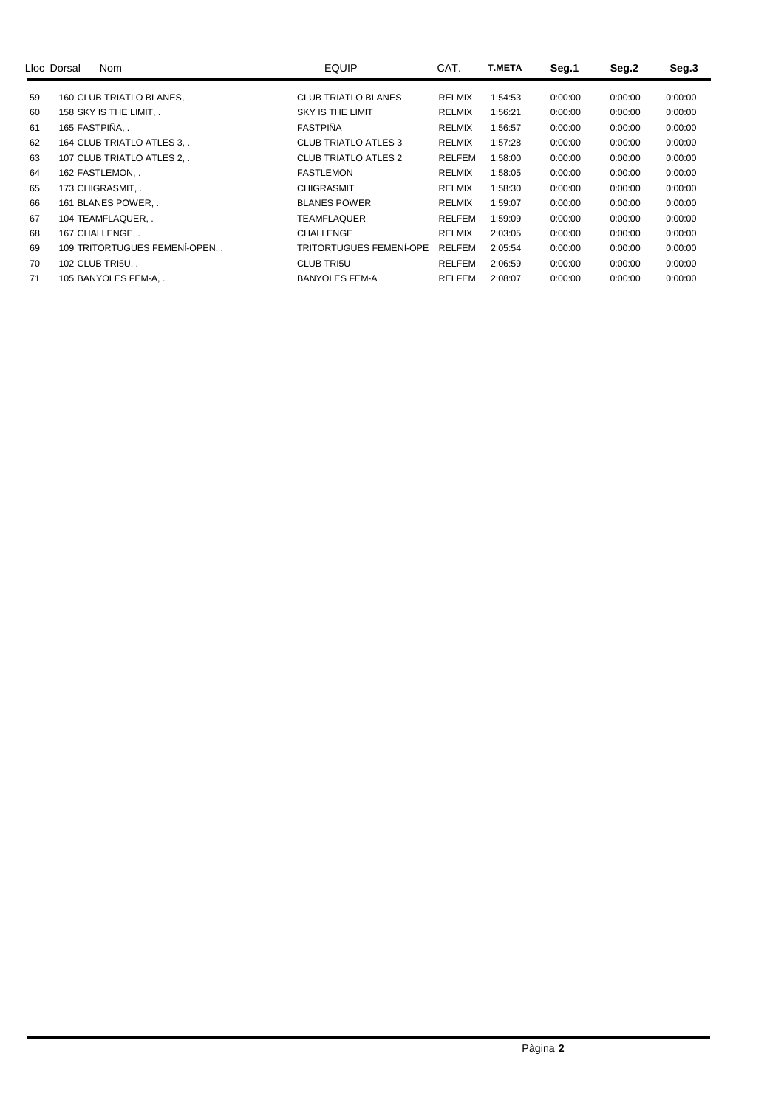|    | Lloc Dorsal<br><b>Nom</b>    | <b>EQUIP</b>                | CAT.          | <b>T.META</b> | Seg.1   | Seg.2   | Seg.3   |
|----|------------------------------|-----------------------------|---------------|---------------|---------|---------|---------|
| 59 | 160 CLUB TRIATLO BLANES      | <b>CLUB TRIATLO BLANES</b>  | <b>RELMIX</b> | 1:54:53       | 0:00:00 | 0:00:00 | 0:00:00 |
| 60 | 158 SKY IS THE LIMIT         | <b>SKY IS THE LIMIT</b>     | <b>RELMIX</b> | 1:56:21       | 0:00:00 | 0:00:00 | 0:00:00 |
| 61 | 165 FASTPIÑA                 | <b>FASTPINA</b>             | <b>RELMIX</b> | 1:56:57       | 0:00:00 | 0:00:00 | 0:00:00 |
| 62 | 164 CLUB TRIATLO ATLES 3.    | CLUB TRIATLO ATLES 3        | <b>RELMIX</b> | 1:57:28       | 0:00:00 | 0:00:00 | 0:00:00 |
| 63 | 107 CLUB TRIATLO ATLES 2, .  | <b>CLUB TRIATLO ATLES 2</b> | <b>RELFEM</b> | 1:58:00       | 0:00:00 | 0:00:00 | 0:00:00 |
| 64 | 162 FASTLEMON, .             | <b>FASTLEMON</b>            | <b>RELMIX</b> | 1:58:05       | 0:00:00 | 0:00:00 | 0:00:00 |
| 65 | 173 CHIGRASMIT, .            | <b>CHIGRASMIT</b>           | <b>RELMIX</b> | 1:58:30       | 0:00:00 | 0:00:00 | 0:00:00 |
| 66 | 161 BLANES POWER             | <b>BLANES POWER</b>         | <b>RELMIX</b> | 1:59:07       | 0:00:00 | 0:00:00 | 0:00:00 |
| 67 | 104 TEAMFLAQUER, .           | <b>TEAMFLAQUER</b>          | <b>RELFEM</b> | 1:59:09       | 0:00:00 | 0:00:00 | 0:00:00 |
| 68 | 167 CHALLENGE, .             | <b>CHALLENGE</b>            | <b>RELMIX</b> | 2:03:05       | 0:00:00 | 0:00:00 | 0:00:00 |
| 69 | 109 TRITORTUGUES FEMENÍ-OPEN | TRITORTUGUES FEMENÍ-OPE     | <b>RELFEM</b> | 2:05:54       | 0:00:00 | 0:00:00 | 0:00:00 |
| 70 | 102 CLUB TRI5U               | <b>CLUB TRI5U</b>           | <b>RELFEM</b> | 2:06:59       | 0:00:00 | 0:00:00 | 0:00:00 |
| 71 | 105 BANYOLES FEM-A,.         | <b>BANYOLES FEM-A</b>       | <b>RELFEM</b> | 2:08:07       | 0:00:00 | 0:00:00 | 0:00:00 |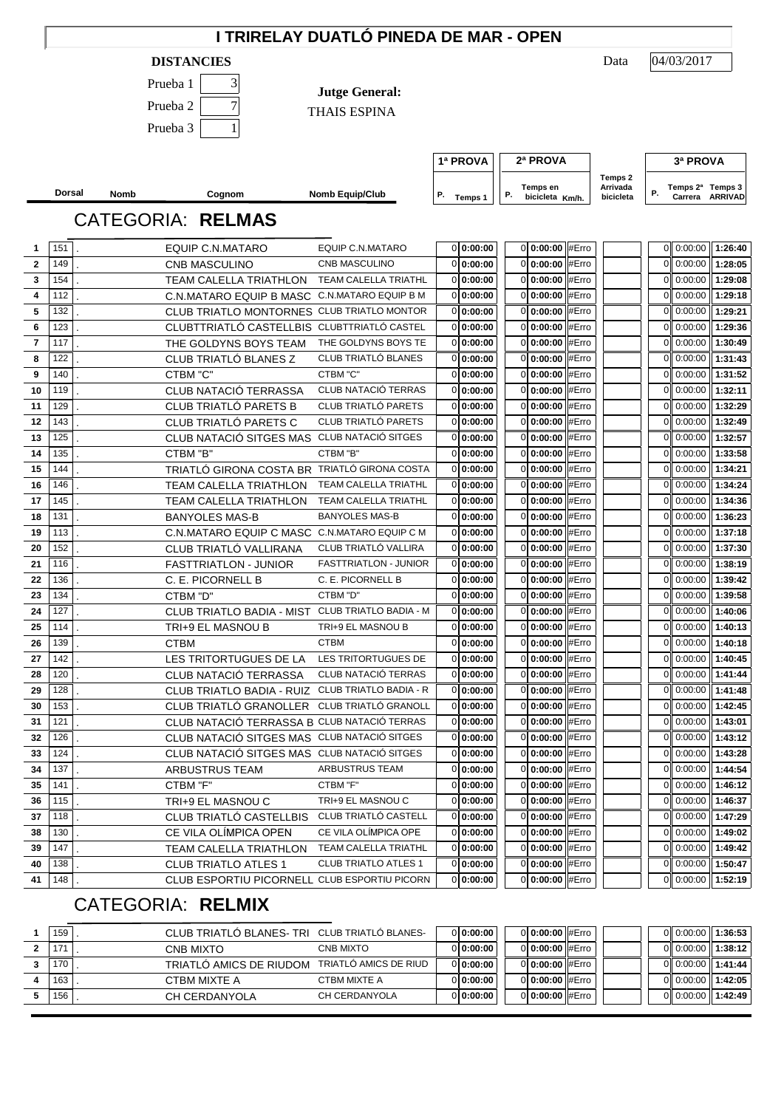|                |            |             |                                                  | I TRIRELAY DUATLÓ PINEDA DE MAR - OPEN               |                              |                                              |                     |                                                     |
|----------------|------------|-------------|--------------------------------------------------|------------------------------------------------------|------------------------------|----------------------------------------------|---------------------|-----------------------------------------------------|
|                |            |             | <b>DISTANCIES</b>                                |                                                      |                              |                                              | Data                | 04/03/2017                                          |
|                |            |             | Prueba 1<br>3                                    |                                                      |                              |                                              |                     |                                                     |
|                |            |             | $\boldsymbol{7}$<br>Prueba <sub>2</sub>          | <b>Jutge General:</b>                                |                              |                                              |                     |                                                     |
|                |            |             |                                                  | THAIS ESPINA                                         |                              |                                              |                     |                                                     |
|                |            |             | Prueba 3<br>1                                    |                                                      |                              |                                              |                     |                                                     |
|                |            |             |                                                  |                                                      |                              |                                              |                     |                                                     |
|                |            |             |                                                  |                                                      | 1ª PROVA                     | 2ª PROVA                                     |                     | 3ª PROVA                                            |
|                |            |             |                                                  |                                                      |                              | Temps en                                     | Temps 2<br>Arrivada | Temps 2 <sup>a</sup> Temps 3                        |
|                | Dorsal     | <b>Nomb</b> | Cognom                                           | <b>Nomb Equip/Club</b>                               | Р.<br>Temps 1                | Р.<br>bicicleta Km/h.                        | bicicleta           | Ρ.<br>Carrera ARRIVAD                               |
|                |            |             | <b>CATEGORIA: RELMAS</b>                         |                                                      |                              |                                              |                     |                                                     |
| 1              | 151        |             | EQUIP C.N.MATARO                                 | EQUIP C.N.MATARO                                     | 0:00:00                      | 0 0:00:00 #Erro                              |                     | $0$ 0:00:00<br>1:26:40                              |
| $\overline{2}$ | 149        |             | CNB MASCULINO                                    | CNB MASCULINO                                        | 0:00:00<br>$\Omega$          | 0 0:00:00 #Erro                              |                     | 1:28:05<br>0 0:00:00                                |
| 3              | 154        |             | TEAM CALELLA TRIATHLON                           | <b>TEAM CALELLA TRIATHL</b>                          | 0:00:00                      | 0 0:00:00 #Erro                              |                     | 1:29:08<br>0:00:00                                  |
| 4              | 112        |             | C.N.MATARO EQUIP B MASC C.N.MATARO EQUIP B M     |                                                      | 0:00:00<br>$\Omega$          | 0 0:00:00 #Erro                              |                     | 1:29:18<br>0:00:00                                  |
| 5              | 132        |             | CLUB TRIATLO MONTORNES CLUB TRIATLO MONTOR       |                                                      | 0:00:00<br>$\Omega$          | 0 0:00:00 #Erro                              |                     | 1:29:21<br>0:00:00<br>0                             |
| 6              | 123        |             | CLUBTTRIATLÓ CASTELLBIS CLUBTTRIATLÓ CASTEL      |                                                      | 0:00:00                      | 0:00:00 #Erro<br>$\Omega$                    |                     | 1:29:36<br>0:00:00<br>0                             |
| $\overline{7}$ | 117        |             | THE GOLDYNS BOYS TEAM                            | THE GOLDYNS BOYS TE                                  | 0:00:00<br>0                 | 0:00:00 #Erro<br>$\Omega$                    |                     | 1:30:49<br>0:00:00<br>0                             |
| 8              | 122        |             | CLUB TRIATLÓ BLANES Z                            | CLUB TRIATLÓ BLANES                                  | 0:00:00<br>0                 | 0:00:00 #Erro<br>$\Omega$                    |                     | 1:31:43<br>0:00:00<br>0                             |
| 9              | 140        |             | CTBM "C"                                         | CTBM "C"                                             | 0:00:00<br>$\Omega$          | 0 0:00:00 #Erro                              |                     | 1:31:52<br>0:00:00<br>0                             |
| 10             | 119        |             | CLUB NATACIÓ TERRASSA                            | CLUB NATACIÓ TERRAS                                  | 0:00:00                      | 0 0:00:00 #Erro                              |                     | 1:32:11<br>0:00:00<br>0                             |
| 11             | 129        |             | CLUB TRIATLÓ PARETS B                            | CLUB TRIATLÓ PARETS                                  | 0:00:00<br>$\Omega$          | 0 0:00:00 #Erro                              |                     | 1:32:29<br>0:00:00<br>ΟI                            |
| 12             | 143        |             | CLUB TRIATLÓ PARETS C                            | CLUB TRIATLÓ PARETS                                  | 0:00:00<br>$\Omega$          | 0 0:00:00 #Erro                              |                     | 1:32:49<br>0:00:00<br>ΟI                            |
| 13             | 125        |             | CLUB NATACIÓ SITGES MAS CLUB NATACIÓ SITGES      |                                                      | 0:00:00<br>$\Omega$          | 0 0:00:00 #Erro                              |                     | 1:32:57<br>0:00:00<br>ΟI                            |
| 14             | 135        |             | CTBM "B"                                         | CTBM "B"                                             | 0:00:00<br>$\Omega$          | 0 0:00:00 #Erro                              |                     | 1:33:58<br>0:00:00<br>ΟI                            |
| 15             | 144        |             | TRIATLÓ GIRONA COSTA BR TRIATLÓ GIRONA COSTA     |                                                      | 0:00:00                      | 0 0:00:00 #Erro                              |                     | 1:34:21<br>0:00:00<br>0                             |
| 16             | 146        |             | <b>TEAM CALELLA TRIATHLON</b>                    | TEAM CALELLA TRIATHL                                 | 0:00:00                      | 0:00:00 #Erro<br>0                           |                     | 1:34:24<br>0:00:00<br>0                             |
| 17<br>18       | 145<br>131 |             | TEAM CALELLA TRIATHLON<br><b>BANYOLES MAS-B</b>  | <b>TEAM CALELLA TRIATHL</b><br><b>BANYOLES MAS-B</b> | 0:00:00<br>0<br>0:00:00<br>0 | $0:00:00$ #Erro<br>0<br>$0:00:00$ #Erro<br>0 |                     | 0:00:00<br>1:34:36<br>0<br>0:00:00<br>1:36:23<br>01 |
| 19             | 113        |             | C.N.MATARO EQUIP C MASC C.N.MATARO EQUIP C M     |                                                      | 0:00:00                      | $0:00:00$ #Erro<br>0                         |                     | 0:00:00<br>1:37:18<br>01                            |
| 20             | 152        |             | CLUB TRIATLÓ VALLIRANA                           | CLUB TRIATLÓ VALLIRA                                 | 0:00:00                      | $0:00:00$ #Erro<br>0                         |                     | 0:00:00<br>1:37:30<br>0                             |
| 21             | 116        |             | <b>FASTTRIATLON - JUNIOR</b>                     | <b>FASTTRIATLON - JUNIOR</b>                         | 0:00:00<br>0                 | $0:00:00$ #Erro<br>0                         |                     | 0:00:00<br>1:38:19<br>0                             |
| 22             | 136        |             | C. E. PICORNELL B                                | C. E. PICORNELL B                                    | 0:00:00<br>$\Omega$          | 0:00:00 #Erro<br>$\Omega$                    |                     | 0:00:00<br>1:39:42<br>01                            |
| 23             | 134        |             | CTBM "D"                                         | CTBM "D"                                             | 0:00:00<br><sup>O</sup>      | $0:00:00$ #Erro<br>$\Omega$                  |                     | 1:39:58<br>0:00:00<br>01                            |
| 24             | 127        |             | CLUB TRIATLO BADIA - MIST CLUB TRIATLO BADIA - M |                                                      | 0:00:00<br>0                 | 0 0:00:00 #Erro                              |                     | 0 0:00:00<br>1:40:06                                |
| 25             | 114        |             | TRI+9 EL MASNOU B                                | TRI+9 EL MASNOU B                                    | 0:00:00                      | 0 0:00:00 #Erro                              |                     | $0$ 0:00:00<br>1:40:13                              |
| 26             | 139        |             | <b>CTBM</b>                                      | <b>CTBM</b>                                          | 0:00:00<br>0                 | 0 0:00:00 #Erro                              |                     | 0 0:00:00<br>1:40:18                                |
| 27             | 142        |             | LES TRITORTUGUES DE LA                           | LES TRITORTUGUES DE                                  | 0:00:00<br>0                 | 0 0:00:00 #Erro                              |                     | 1:40:45<br>0.00:00                                  |
| 28             | 120        |             | <b>CLUB NATACIO TERRASSA</b>                     | CLUB NATACIÓ TERRAS                                  | 0:00:00<br>0                 | 0 0:00:00 #Erro                              |                     | $0$ 0:00:00<br>1:41:44                              |
| 29             | 128        |             | CLUB TRIATLO BADIA - RUIZ CLUB TRIATLO BADIA - R |                                                      | 0:00:00<br>0                 | 0 0:00:00 #Erro                              |                     | $0$ 0:00:00<br>1:41:48                              |
| 30             | 153        |             | CLUB TRIATLÓ GRANOLLER CLUB TRIATLÓ GRANOLL      |                                                      | 0:00:00<br>0                 | 0 0:00:00 #Erro                              |                     | 0.00:00<br>1:42:45                                  |
| 31             | 121        |             | CLUB NATACIÓ TERRASSA B CLUB NATACIÓ TERRAS      |                                                      | 0:00:00<br>0                 | 0 0:00:00 #Erro                              |                     | 0 0:00:00<br>1:43:01                                |
| 32             | 126        |             | CLUB NATACIÓ SITGES MAS CLUB NATACIÓ SITGES      |                                                      | 0:00:00<br>0                 | 0 0:00:00 #Erro                              |                     | 0.00:00<br>1:43:12                                  |
| 33             | 124        |             | CLUB NATACIÓ SITGES MAS CLUB NATACIÓ SITGES      |                                                      | 0:00:00<br>0                 | 0 0:00:00 #Erro                              |                     | 0 0:00:00<br>1:43:28                                |
| 34             | 137        |             | ARBUSTRUS TEAM                                   | ARBUSTRUS TEAM                                       | 0:00:00<br>0                 | 0 0:00:00 #Erro                              |                     | 1:44:54<br>0.00:00                                  |
| 35             | 141        |             | CTBM "F"                                         | CTBM "F"                                             | 0:00:00<br>0                 | 0 0:00:00 #Erro                              |                     | 0 0:00:00<br>1:46:12                                |
| 36             | 115        |             | TRI+9 EL MASNOU C                                | TRI+9 EL MASNOU C                                    | 0:00:00<br>0                 | 0 0:00:00 #Erro                              |                     | 0 0:00:00<br>1:46:37                                |
| 37             | 118        |             | CLUB TRIATLÓ CASTELLBIS                          | CLUB TRIATLÓ CASTELL                                 | 0:00:00<br>0                 | 0 0:00:00 #Erro                              |                     | 0 0:00:00<br>1:47:29                                |
| 38             | 130        |             | CE VILA OLÍMPICA OPEN                            | CE VILA OLÍMPICA OPE                                 | 0:00:00<br>0                 | 0 0:00:00 #Erro                              |                     | 0 0:00:00<br>1:49:02                                |
| 39             | 147        |             | TEAM CALELLA TRIATHLON                           | TEAM CALELLA TRIATHL                                 | 0:00:00<br>0                 | 0 0:00:00 #Erro                              |                     | 1:49:42<br>0 0:00:00                                |
| 40             | 138        |             | <b>CLUB TRIATLO ATLES 1</b>                      | <b>CLUB TRIATLO ATLES 1</b>                          | 0:00:00<br>0                 | 0 0:00:00 #Erro                              |                     | 1:50:47<br>0 0:00:00                                |
| 41             | 148        |             | CLUB ESPORTIU PICORNELL CLUB ESPORTIU PICORN     |                                                      | 0 0:00:00                    | 0 0:00:00 #Erro                              |                     | 1:52:19<br>0.00:00                                  |

## CATEGORIA: **RELMIX**

| 159 | CLUB TRIATLO BLANES- TRI CLUB TRIATLO BLANES- |                       | 0 0:00:00 | 0 0:00:00 #Erro |  | 0 0:00:00 1:36:53 |                     |
|-----|-----------------------------------------------|-----------------------|-----------|-----------------|--|-------------------|---------------------|
| 171 | CNB MIXTO                                     | CNB MIXTO             | 0 0:00:00 | 010:00:00 #Erro |  |                   | $0$ 0:00:00 1:38:12 |
| 170 | TRIATLO AMICS DE RIUDOM                       | TRIATLO AMICS DE RIUD | 0 0:00:00 | 0 0:00:00 #Erro |  | 0 0:00:00 1:41:44 |                     |
| 163 | CTBM MIXTE A                                  | CTBM MIXTE A          | 0 0:00:00 | 010:00:00 #Erro |  |                   | $0$ 0:00:00 1:42:05 |
| 156 | CH CERDANYOLA                                 | CH CERDANYOLA         | 0 0:00:00 | 0 0:00:00 #Erro |  |                   | $0$ 0:00:00 1:42:49 |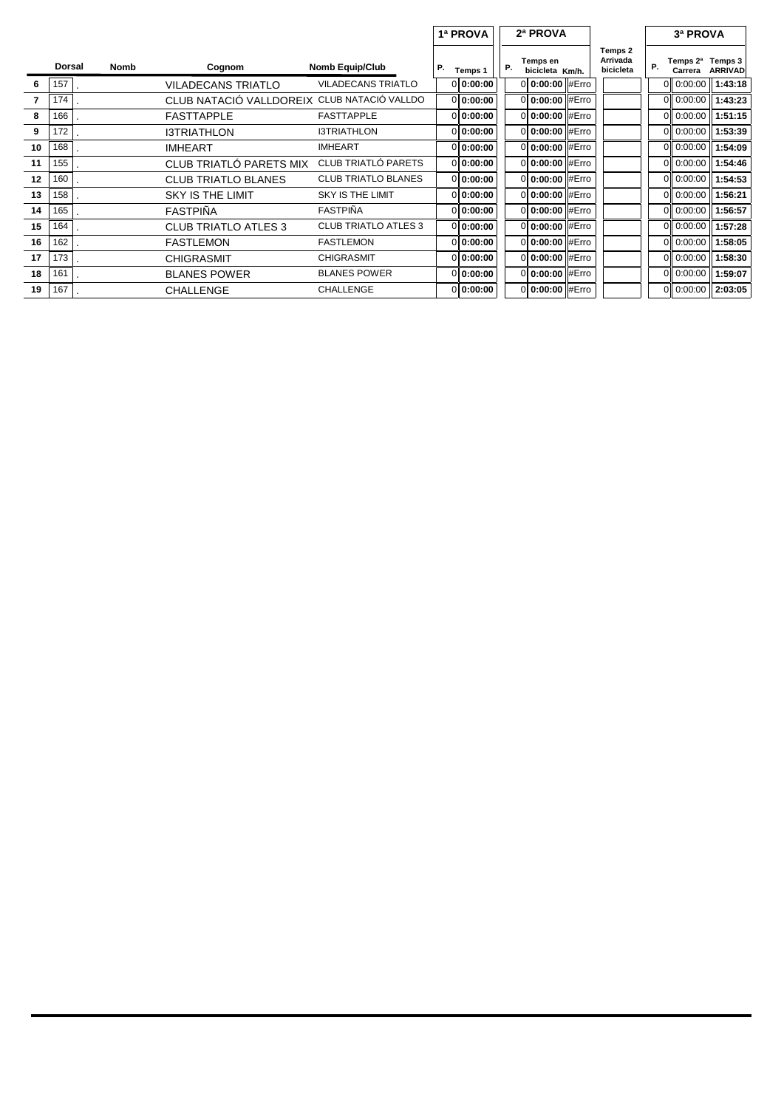|    |        |      |                             |                             |    | 1ª PROVA  |    | 2ª PROVA                    |                                  |    | 3ª PROVA            |                           |
|----|--------|------|-----------------------------|-----------------------------|----|-----------|----|-----------------------------|----------------------------------|----|---------------------|---------------------------|
|    | Dorsal | Nomb | Cognom                      | <b>Nomb Equip/Club</b>      | Р. | Temps 1   | Р. | Temps en<br>bicicleta Km/h. | Temps 2<br>Arrivada<br>bicicleta | Р. | Temps 2ª<br>Carrera | Temps 3<br><b>ARRIVAD</b> |
| 6  | 157    |      | <b>VILADECANS TRIATLO</b>   | <b>VILADECANS TRIATLO</b>   |    | 0 0:00:00 |    | 0 0:00:00 #Erro             |                                  |    | 0.00:00             | 1:43:18                   |
|    | 174    |      | CLUB NATACIÓ VALLDOREIX     | CLUB NATACIÓ VALLDO         |    | 0 0:00:00 |    | 0 0:00:00 #Erro             |                                  |    | 0.00:00             | 1:43:23                   |
| 8  | 166    |      | <b>FASTTAPPLE</b>           | <b>FASTTAPPLE</b>           |    | 0 0:00:00 |    | 0 0:00:00 #Erro             |                                  |    | 0 0:00:00           | 1:51:15                   |
| 9  | 172    |      | <b>I3TRIATHLON</b>          | <b>I3TRIATHLON</b>          |    | 0 0:00:00 |    | 0 0:00:00 #Erro             |                                  |    | 0 0:00:00           | 1:53:39                   |
| 10 | 168    |      | <b>IMHEART</b>              | <b>IMHEART</b>              |    | 0 0:00:00 |    | 0 0:00:00 #Erro             |                                  |    | 0.00:00             | 1:54:09                   |
| 11 | 155    |      | CLUB TRIATLO PARETS MIX     | CLUB TRIATLÓ PARETS         |    | 0 0:00:00 |    | 0 0:00:00 #Erro             |                                  |    | 0.00:00             | 1:54:46                   |
| 12 | 160    |      | <b>CLUB TRIATLO BLANES</b>  | <b>CLUB TRIATLO BLANES</b>  |    | 0 0:00:00 |    | 0 0:00:00 #Erro             |                                  |    | 0.00:00             | 1:54:53                   |
| 13 | 158    |      | <b>SKY IS THE LIMIT</b>     | <b>SKY IS THE LIMIT</b>     |    | 0 0:00:00 |    | 0 0:00:00 #Erro             |                                  |    | 0.00:00             | 1:56:21                   |
| 14 | 165    |      | <b>FASTPIÑA</b>             | <b>FASTPINA</b>             |    | 0 0:00:00 |    | 0 0:00:00 #Erro             |                                  |    | 0.00:00             | 1:56:57                   |
| 15 | 164    |      | <b>CLUB TRIATLO ATLES 3</b> | <b>CLUB TRIATLO ATLES 3</b> |    | 0 0:00:00 |    | 0 0:00:00 #Erro             |                                  |    | 0 0:00:00           | 1:57:28                   |
| 16 | 162    |      | <b>FASTLEMON</b>            | <b>FASTLEMON</b>            |    | 0 0:00:00 |    | 0 0:00:00 #Erro             |                                  |    | $0$ 0:00:00         | 1:58:05                   |
| 17 | 173    |      | <b>CHIGRASMIT</b>           | <b>CHIGRASMIT</b>           |    | 0 0:00:00 |    | 0 0:00:00 #Erro             |                                  |    | 0.00:00             | 1:58:30                   |
| 18 | 161    |      | <b>BLANES POWER</b>         | <b>BLANES POWER</b>         |    | 0 0:00:00 |    | 0 0:00:00 #Erro             |                                  |    | 0 0:00:00           | 1:59:07                   |
| 19 | 167    |      | CHALLENGE                   | <b>CHALLENGE</b>            |    | 0 0:00:00 |    | 0 0:00:00 #Erro             |                                  |    | $0$ 0:00:00         | 2:03:05                   |